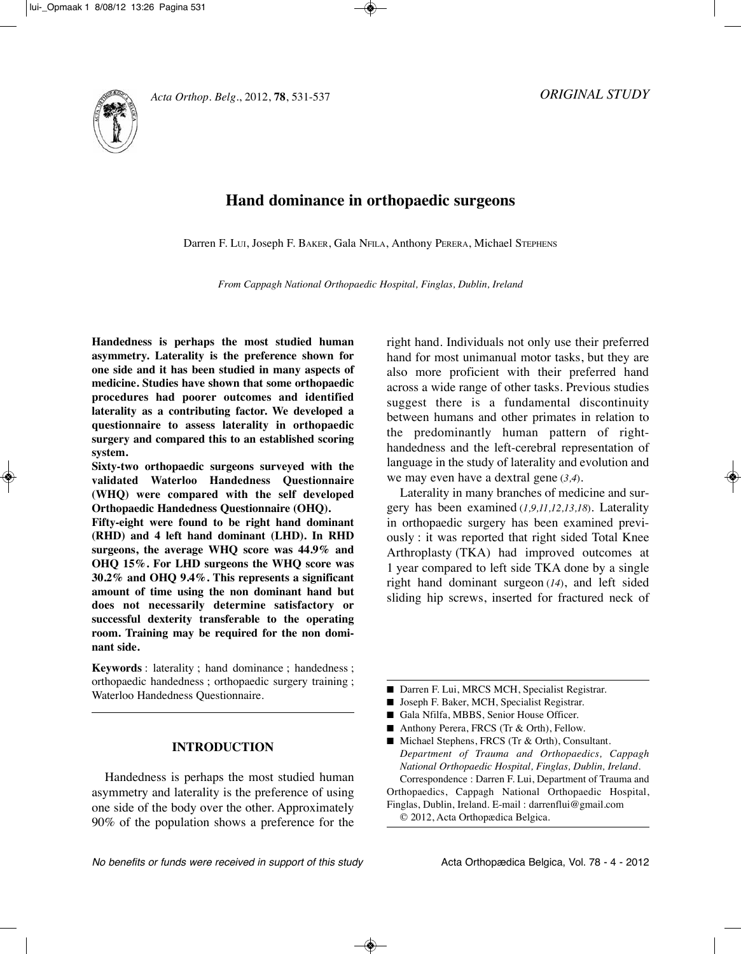

# **Hand dominance in orthopaedic surgeons**

Darren F. LuI, Joseph F. BAkER, Gala NFILA, Anthony PERERA, Michael STEPHENS

*From Cappagh National Orthopaedic Hospital, Finglas, Dublin, Ireland*

**Handedness is perhaps the most studied human asymmetry. Laterality is the preference shown for one side and it has been studied in many aspects of medicine. Studies have shown that some orthopaedic procedures had poorer outcomes and identified laterality as a contributing factor. We developed a questionnaire to assess laterality in orthopaedic surgery and compared this to an established scoring system.**

**Sixty-two orthopaedic surgeons surveyed with the validated Waterloo Handedness Questionnaire (WHQ) were compared with the self developed Orthopaedic Handedness Questionnaire (OHQ).** 

**Fifty-eight were found to be right hand dominant (RHD) and 4 left hand dominant (LHD). In RHD surgeons, the average WHQ score was 44.9% and OHQ 15%. For LHD surgeons the WHQ score was 30.2% and OHQ 9.4%. This represents a significant amount of time using the non dominant hand but does not necessarily determine satisfactory or successful dexterity transferable to the operating room. Training may be required for the non dominant side.**

**Keywords** : laterality ; hand dominance ; handedness ; orthopaedic handedness ; orthopaedic surgery training ; Waterloo Handedness Questionnaire.

## **INTRODUCTION**

Handedness is perhaps the most studied human asymmetry and laterality is the preference of using one side of the body over the other. Approximately 90% of the population shows a preference for the right hand. Individuals not only use their preferred hand for most unimanual motor tasks, but they are also more proficient with their preferred hand across a wide range of other tasks. Previous studies suggest there is a fundamental discontinuity between humans and other primates in relation to the predominantly human pattern of right handedness and the left-cerebral representation of language in the study of laterality and evolution and we may even have a dextral gene (*3,4*).

Laterality in many branches of medicine and surgery has been examined (*1,9,11,12,13,18*). Laterality in orthopaedic surgery has been examined previously : it was reported that right sided Total knee Arthroplasty (TkA) had improved outcomes at 1 year compared to left side TkA done by a single right hand dominant surgeon (*14*), and left sided sliding hip screws, inserted for fractured neck of

- Darren F. Lui, MRCS MCH, Specialist Registrar.
- Joseph F. Baker, MCH, Specialist Registrar.
- Gala Nfilfa, MBBS, Senior House Officer.
- Anthony Perera, FRCS (Tr & Orth), Fellow.

■ Michael Stephens, FRCS (Tr & Orth), Consultant. *Department of Trauma and Orthopaedics, Cappagh National Orthopaedic Hospital, Finglas, Dublin, Ireland.* Correspondence : Darren F. Lui, Department of Trauma and Orthopaedics, Cappagh National Orthopaedic Hospital,

Finglas, Dublin, Ireland. E-mail : darrenflui@gmail.com © 2012, Acta Orthopædica Belgica.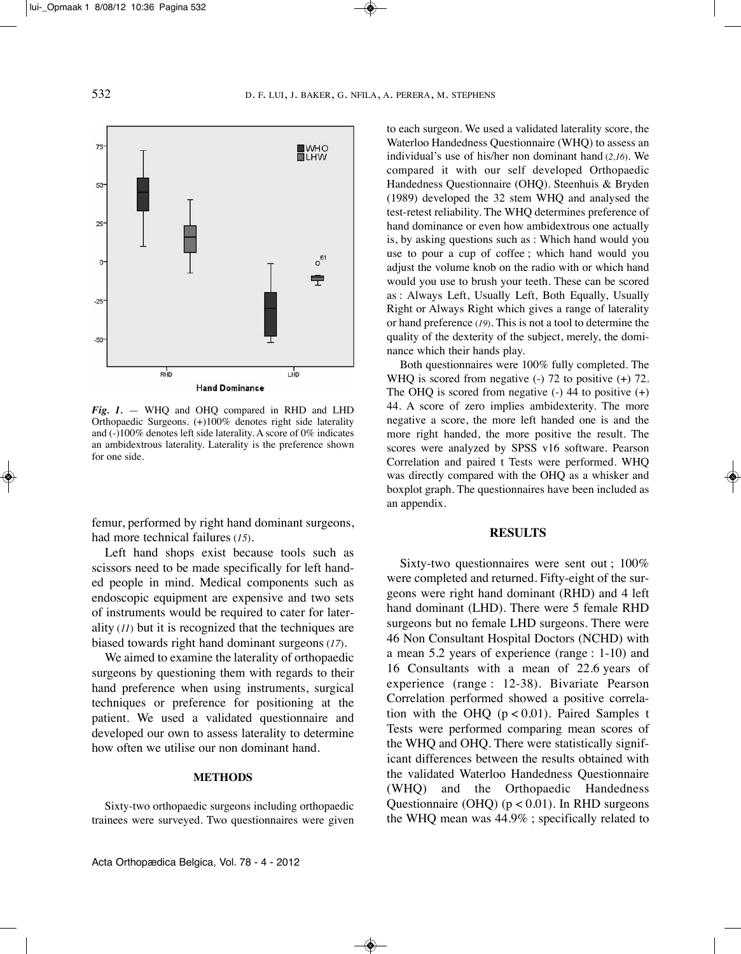

*Fig. 1.* — WHQ and OHQ compared in RHD and LHD Orthopaedic Surgeons. (+)100% denotes right side laterality and (-)100% denotes left side laterality. A score of 0% indicates an ambidextrous laterality. Laterality is the preference shown for one side.

femur, performed by right hand dominant surgeons, had more technical failures (*15*).

Left hand shops exist because tools such as scissors need to be made specifically for left handed people in mind. Medical components such as endoscopic equipment are expensive and two sets of instruments would be required to cater for laterality (*11*) but it is recognized that the techniques are biased towards right hand dominant surgeons (*17*).

We aimed to examine the laterality of orthopaedic surgeons by questioning them with regards to their hand preference when using instruments, surgical techniques or preference for positioning at the patient. We used a validated questionnaire and developed our own to assess laterality to determine how often we utilise our non dominant hand.

#### **METHODS**

Sixty-two orthopaedic surgeons including orthopaedic trainees were surveyed. Two questionnaires were given to each surgeon. We used a validated laterality score, the Waterloo Handedness Questionnaire (WHQ) to assess an individual's use of his/her non dominant hand (*2,16*). We compared it with our self developed Orthopaedic Handedness Questionnaire (OHQ). Steenhuis & Bryden (1989) developed the 32 stem WHQ and analysed the test-retest reliability. The WHQ determines preference of hand dominance or even how ambidextrous one actually is, by asking questions such as : Which hand would you use to pour a cup of coffee ; which hand would you adjust the volume knob on the radio with or which hand would you use to brush your teeth. These can be scored as : Always Left, Usually Left, Both Equally, Usually Right or Always Right which gives a range of laterality or hand preference (*19*). This is not a tool to determine the quality of the dexterity of the subject, merely, the dominance which their hands play.

Both questionnaires were 100% fully completed. The WHQ is scored from negative (-) 72 to positive (+) 72. The OHQ is scored from negative  $(-)$  44 to positive  $(+)$ 44. A score of zero implies ambidexterity. The more negative a score, the more left handed one is and the more right handed, the more positive the result. The scores were analyzed by SPSS v16 software. Pearson Correlation and paired t Tests were performed. WHQ was directly compared with the OHQ as a whisker and boxplot graph. The questionnaires have been included as an appendix.

#### **RESULTS**

Sixty-two questionnaires were sent out ; 100% were completed and returned. Fifty-eight of the surgeons were right hand dominant (RHD) and 4 left hand dominant (LHD). There were 5 female RHD surgeons but no female LHD surgeons. There were 46 Non Consultant Hospital Doctors (NCHD) with a mean 5.2 years of experience (range : 1-10) and 16 Consultants with a mean of 22.6 years of experience (range : 12-38). Bivariate Pearson Correlation performed showed a positive correlation with the OHQ  $(p < 0.01)$ . Paired Samples t Tests were performed comparing mean scores of the WHQ and OHQ. There were statistically significant differences between the results obtained with the validated Waterloo Handedness Questionnaire (WHQ) and the Orthopaedic Handedness Questionnaire (OHQ) ( $p < 0.01$ ). In RHD surgeons the WHQ mean was 44.9% ; specifically related to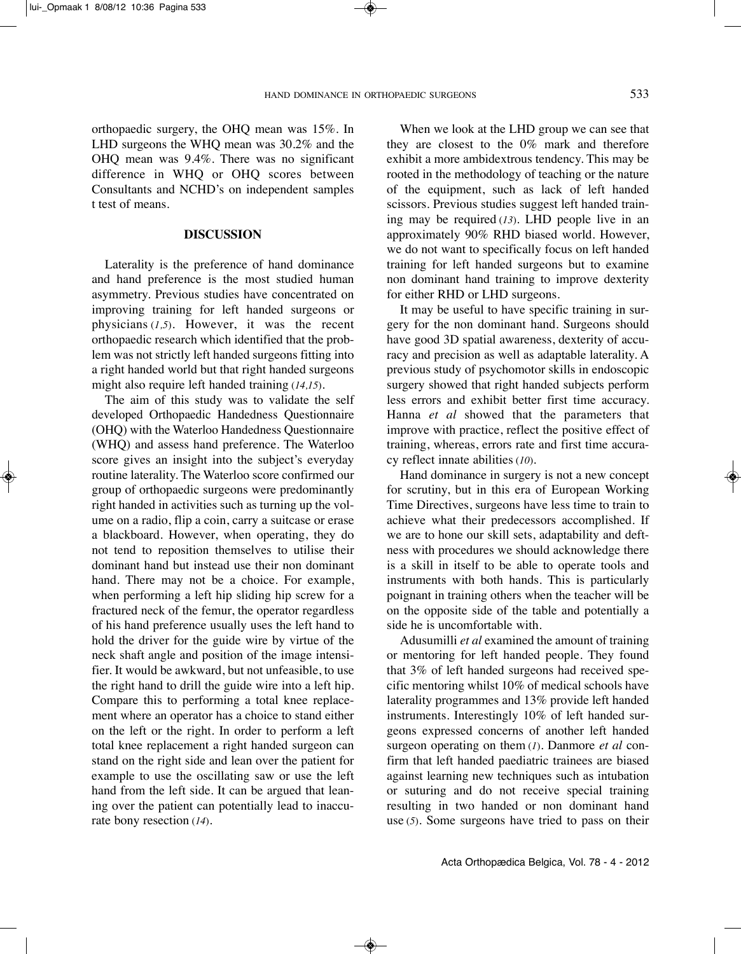orthopaedic surgery, the OHQ mean was 15%. In LHD surgeons the WHQ mean was 30.2% and the OHQ mean was 9.4%. There was no significant difference in WHQ or OHQ scores between Consultants and NCHD's on independent samples t test of means.

#### **DISCUSSION**

Laterality is the preference of hand dominance and hand preference is the most studied human asymmetry. Previous studies have concentrated on improving training for left handed surgeons or physicians (*1,5*). However, it was the recent orthopaedic research which identified that the problem was not strictly left handed surgeons fitting into a right handed world but that right handed surgeons might also require left handed training (*14,15*).

The aim of this study was to validate the self developed Orthopaedic Handedness Questionnaire (OHQ) with the Waterloo Handedness Questionnaire (WHQ) and assess hand preference. The Waterloo score gives an insight into the subject's everyday routine laterality. The Waterloo score confirmed our group of orthopaedic surgeons were predominantly right handed in activities such as turning up the volume on a radio, flip a coin, carry a suitcase or erase a blackboard. However, when operating, they do not tend to reposition themselves to utilise their dominant hand but instead use their non dominant hand. There may not be a choice. For example, when performing a left hip sliding hip screw for a fractured neck of the femur, the operator regardless of his hand preference usually uses the left hand to hold the driver for the guide wire by virtue of the neck shaft angle and position of the image intensifier. It would be awkward, but not unfeasible, to use the right hand to drill the guide wire into a left hip. Compare this to performing a total knee replacement where an operator has a choice to stand either on the left or the right. In order to perform a left total knee replacement a right handed surgeon can stand on the right side and lean over the patient for example to use the oscillating saw or use the left hand from the left side. It can be argued that leaning over the patient can potentially lead to inaccurate bony resection (*14*).

When we look at the LHD group we can see that they are closest to the 0% mark and therefore exhibit a more ambidextrous tendency. This may be rooted in the methodology of teaching or the nature of the equipment, such as lack of left handed scissors. Previous studies suggest left handed training may be required (*13*). LHD people live in an approximately 90% RHD biased world. However, we do not want to specifically focus on left handed training for left handed surgeons but to examine non dominant hand training to improve dexterity for either RHD or LHD surgeons.

It may be useful to have specific training in surgery for the non dominant hand. Surgeons should have good 3D spatial awareness, dexterity of accuracy and precision as well as adaptable laterality. A previous study of psychomotor skills in endoscopic surgery showed that right handed subjects perform less errors and exhibit better first time accuracy. Hanna *et al* showed that the parameters that improve with practice, reflect the positive effect of training, whereas, errors rate and first time accuracy reflect innate abilities (*10*).

Hand dominance in surgery is not a new concept for scrutiny, but in this era of European Working Time Directives, surgeons have less time to train to achieve what their predecessors accomplished. If we are to hone our skill sets, adaptability and deftness with procedures we should acknowledge there is a skill in itself to be able to operate tools and instruments with both hands. This is particularly poignant in training others when the teacher will be on the opposite side of the table and potentially a side he is uncomfortable with.

Adusumilli *et al* examined the amount of training or mentoring for left handed people. They found that 3% of left handed surgeons had received specific mentoring whilst 10% of medical schools have laterality programmes and 13% provide left handed instruments. Interestingly 10% of left handed surgeons expressed concerns of another left handed surgeon operating on them (*1*). Danmore *et al* confirm that left handed paediatric trainees are biased against learning new techniques such as intubation or suturing and do not receive special training resulting in two handed or non dominant hand use (*5*). Some surgeons have tried to pass on their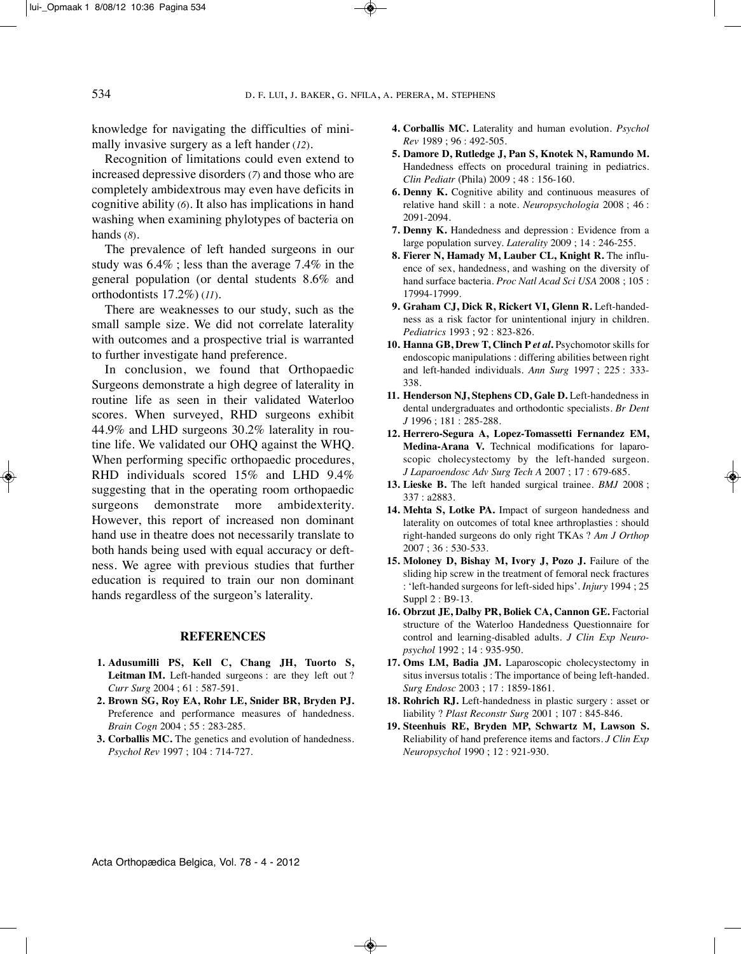knowledge for navigating the difficulties of minimally invasive surgery as a left hander (*12*).

Recognition of limitations could even extend to increased depressive disorders (*7*) and those who are completely ambidextrous may even have deficits in cognitive ability (*6*). It also has implications in hand washing when examining phylotypes of bacteria on hands (*8*).

The prevalence of left handed surgeons in our study was 6.4% ; less than the average 7.4% in the general population (or dental students 8.6% and orthodontists 17.2%) (*11*).

There are weaknesses to our study, such as the small sample size. We did not correlate laterality with outcomes and a prospective trial is warranted to further investigate hand preference.

In conclusion, we found that Orthopaedic Surgeons demonstrate a high degree of laterality in routine life as seen in their validated Waterloo scores. When surveyed, RHD surgeons exhibit 44.9% and LHD surgeons 30.2% laterality in routine life. We validated our OHQ against the WHQ. When performing specific orthopaedic procedures, RHD individuals scored 15% and LHD 9.4% suggesting that in the operating room orthopaedic surgeons demonstrate more ambidexterity. However, this report of increased non dominant hand use in theatre does not necessarily translate to both hands being used with equal accuracy or deftness. We agree with previous studies that further education is required to train our non dominant hands regardless of the surgeon's laterality.

#### **REFERENCES**

- **1. Adusumilli PS, Kell C, Chang JH, Tuorto S, Leitman IM.** Left-handed surgeons : are they left out ? *Curr Surg* 2004 ; 61 : 587-591.
- **2. Brown SG, Roy EA, Rohr LE, Snider BR, Bryden PJ.** Preference and performance measures of handedness. *Brain Cogn* 2004 ; 55 : 283-285.
- **3. Corballis MC.** The genetics and evolution of handedness. *Psychol Rev* 1997 ; 104 : 714-727.
- **4. Corballis MC.** Laterality and human evolution. *Psychol Rev* 1989 ; 96 : 492-505.
- **5. Damore D, Rutledge J, Pan S, Knotek N, Ramundo M.** Handedness effects on procedural training in pediatrics. *Clin Pediatr* (Phila) 2009 ; 48 : 156-160.
- **6. Denny K.** Cognitive ability and continuous measures of relative hand skill : a note. *Neuropsychologia* 2008 ; 46 : 2091-2094.
- **7. Denny K.** Handedness and depression : Evidence from a large population survey. *Laterality* 2009 ; 14 : 246-255.
- **8. Fierer N, Hamady M, Lauber CL, Knight R.** The influence of sex, handedness, and washing on the diversity of hand surface bacteria. *Proc Natl Acad Sci USA* 2008 ; 105 : 17994-17999.
- **9. Graham CJ, Dick R, Rickert VI, Glenn R.** Left-handedness as a risk factor for unintentional injury in children. *Pediatrics* 1993 ; 92 : 823-826.
- **10. Hanna GB, Drew T, Clinch P** *et al***.** Psychomotor skills for endoscopic manipulations : differing abilities between right and left-handed individuals. *Ann Surg* 1997 ; 225 : 333- 338.
- **11. Henderson NJ, Stephens CD, Gale D.** Left-handedness in dental undergraduates and orthodontic specialists. *Br Dent J* 1996 ; 181 : 285-288.
- **12. Herrero-Segura A, Lopez-Tomassetti Fernandez EM, Medina-Arana V.** Technical modifications for laparoscopic cholecystectomy by the left-handed surgeon. *J Laparoendosc Adv Surg Tech A* 2007 ; 17 : 679-685.
- **13. Lieske B.** The left handed surgical trainee. *BMJ* 2008 ; 337 : a2883.
- **14. Mehta S, Lotke PA.** Impact of surgeon handedness and laterality on outcomes of total knee arthroplasties : should right-handed surgeons do only right TkAs ? *Am J Orthop* 2007 ; 36 : 530-533.
- **15. Moloney D, Bishay M, Ivory J, Pozo J.** Failure of the sliding hip screw in the treatment of femoral neck fractures : 'left-handed surgeons for left-sided hips'. *Injury* 1994 ; 25 Suppl 2 : B9-13.
- **16. Obrzut JE, Dalby PR, Boliek CA, Cannon GE.** Factorial structure of the Waterloo Handedness Questionnaire for control and learning-disabled adults. *J Clin Exp Neuropsychol* 1992 ; 14 : 935-950.
- **17. Oms LM, Badia JM.** Laparoscopic cholecystectomy in situs inversus totalis : The importance of being left-handed. *Surg Endosc* 2003 ; 17 : 1859-1861.
- **18. Rohrich RJ.** Left-handedness in plastic surgery : asset or liability ? *Plast Reconstr Surg* 2001 ; 107 : 845-846.
- **19. Steenhuis RE, Bryden MP, Schwartz M, Lawson S.** Reliability of hand preference items and factors. *J Clin Exp Neuropsychol* 1990 ; 12 : 921-930.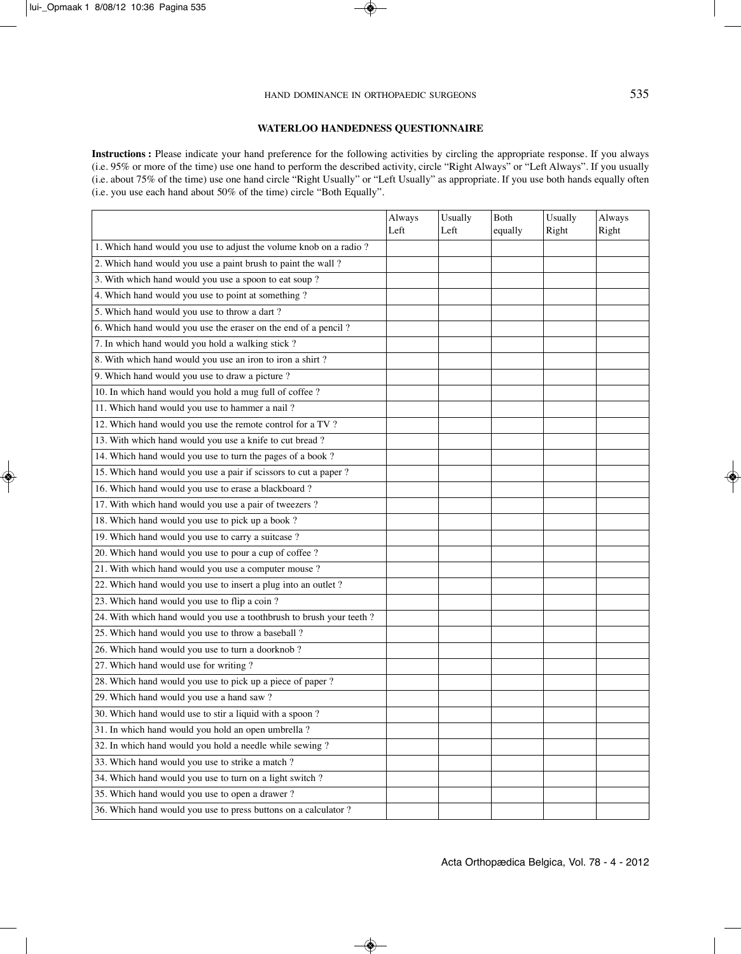#### **WATERLOO HANDEDNESS QUESTIONNAIRE**

**Instructions :** Please indicate your hand preference for the following activities by circling the appropriate response. If you always (i.e. 95% or more of the time) use one hand to perform the described activity, circle "Right Always" or "Left Always". If you usually (i.e. about 75% of the time) use one hand circle "Right Usually" or "Left Usually" as appropriate. If you use both hands equally often (i.e. you use each hand about 50% of the time) circle "Both Equally".

|                                                                      | Always<br>Left | Usually<br>Left | Both<br>equally | Usually<br>Right | Always<br>Right |
|----------------------------------------------------------------------|----------------|-----------------|-----------------|------------------|-----------------|
| 1. Which hand would you use to adjust the volume knob on a radio ?   |                |                 |                 |                  |                 |
| 2. Which hand would you use a paint brush to paint the wall ?        |                |                 |                 |                  |                 |
| 3. With which hand would you use a spoon to eat soup?                |                |                 |                 |                  |                 |
| 4. Which hand would you use to point at something ?                  |                |                 |                 |                  |                 |
| 5. Which hand would you use to throw a dart?                         |                |                 |                 |                  |                 |
| 6. Which hand would you use the eraser on the end of a pencil ?      |                |                 |                 |                  |                 |
| 7. In which hand would you hold a walking stick?                     |                |                 |                 |                  |                 |
| 8. With which hand would you use an iron to iron a shirt?            |                |                 |                 |                  |                 |
| 9. Which hand would you use to draw a picture ?                      |                |                 |                 |                  |                 |
| 10. In which hand would you hold a mug full of coffee ?              |                |                 |                 |                  |                 |
| 11. Which hand would you use to hammer a nail?                       |                |                 |                 |                  |                 |
| 12. Which hand would you use the remote control for a TV?            |                |                 |                 |                  |                 |
| 13. With which hand would you use a knife to cut bread?              |                |                 |                 |                  |                 |
| 14. Which hand would you use to turn the pages of a book?            |                |                 |                 |                  |                 |
| 15. Which hand would you use a pair if scissors to cut a paper ?     |                |                 |                 |                  |                 |
| 16. Which hand would you use to erase a blackboard?                  |                |                 |                 |                  |                 |
| 17. With which hand would you use a pair of tweezers ?               |                |                 |                 |                  |                 |
| 18. Which hand would you use to pick up a book?                      |                |                 |                 |                  |                 |
| 19. Which hand would you use to carry a suitcase ?                   |                |                 |                 |                  |                 |
| 20. Which hand would you use to pour a cup of coffee ?               |                |                 |                 |                  |                 |
| 21. With which hand would you use a computer mouse ?                 |                |                 |                 |                  |                 |
| 22. Which hand would you use to insert a plug into an outlet ?       |                |                 |                 |                  |                 |
| 23. Which hand would you use to flip a coin?                         |                |                 |                 |                  |                 |
| 24. With which hand would you use a toothbrush to brush your teeth ? |                |                 |                 |                  |                 |
| 25. Which hand would you use to throw a baseball ?                   |                |                 |                 |                  |                 |
| 26. Which hand would you use to turn a doorknob?                     |                |                 |                 |                  |                 |
| 27. Which hand would use for writing?                                |                |                 |                 |                  |                 |
| 28. Which hand would you use to pick up a piece of paper ?           |                |                 |                 |                  |                 |
| 29. Which hand would you use a hand saw?                             |                |                 |                 |                  |                 |
| 30. Which hand would use to stir a liquid with a spoon ?             |                |                 |                 |                  |                 |
| 31. In which hand would you hold an open umbrella ?                  |                |                 |                 |                  |                 |
| 32. In which hand would you hold a needle while sewing ?             |                |                 |                 |                  |                 |
| 33. Which hand would you use to strike a match ?                     |                |                 |                 |                  |                 |
| 34. Which hand would you use to turn on a light switch ?             |                |                 |                 |                  |                 |
| 35. Which hand would you use to open a drawer?                       |                |                 |                 |                  |                 |
| 36. Which hand would you use to press buttons on a calculator ?      |                |                 |                 |                  |                 |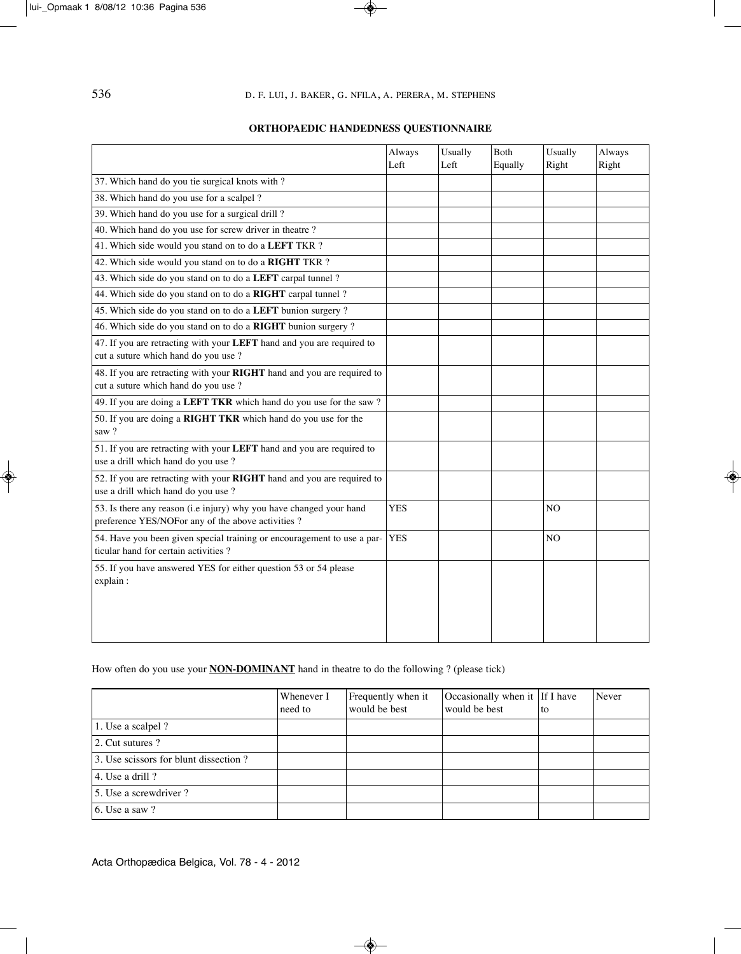# **ORTHOPAEDIC HANDEDNESS QUESTIONNAIRE**

|                                                                                                                           | Always<br>Left | Usually<br>Left | Both<br>Equally | Usually<br>Right | Always<br>Right |
|---------------------------------------------------------------------------------------------------------------------------|----------------|-----------------|-----------------|------------------|-----------------|
| 37. Which hand do you tie surgical knots with?                                                                            |                |                 |                 |                  |                 |
| 38. Which hand do you use for a scalpel ?                                                                                 |                |                 |                 |                  |                 |
| 39. Which hand do you use for a surgical drill?                                                                           |                |                 |                 |                  |                 |
| 40. Which hand do you use for screw driver in theatre ?                                                                   |                |                 |                 |                  |                 |
| 41. Which side would you stand on to do a LEFT TKR ?                                                                      |                |                 |                 |                  |                 |
| 42. Which side would you stand on to do a RIGHT TKR ?                                                                     |                |                 |                 |                  |                 |
| 43. Which side do you stand on to do a LEFT carpal tunnel ?                                                               |                |                 |                 |                  |                 |
| 44. Which side do you stand on to do a RIGHT carpal tunnel ?                                                              |                |                 |                 |                  |                 |
| 45. Which side do you stand on to do a LEFT bunion surgery ?                                                              |                |                 |                 |                  |                 |
| 46. Which side do you stand on to do a RIGHT bunion surgery ?                                                             |                |                 |                 |                  |                 |
|                                                                                                                           |                |                 |                 |                  |                 |
| 47. If you are retracting with your LEFT hand and you are required to<br>cut a suture which hand do you use ?             |                |                 |                 |                  |                 |
| 48. If you are retracting with your RIGHT hand and you are required to<br>cut a suture which hand do you use ?            |                |                 |                 |                  |                 |
| 49. If you are doing a LEFT TKR which hand do you use for the saw?                                                        |                |                 |                 |                  |                 |
| 50. If you are doing a RIGHT TKR which hand do you use for the<br>saw?                                                    |                |                 |                 |                  |                 |
| 51. If you are retracting with your LEFT hand and you are required to<br>use a drill which hand do you use ?              |                |                 |                 |                  |                 |
| 52. If you are retracting with your RIGHT hand and you are required to<br>use a drill which hand do you use ?             |                |                 |                 |                  |                 |
| 53. Is there any reason (i.e injury) why you have changed your hand<br>preference YES/NOFor any of the above activities ? | <b>YES</b>     |                 |                 | N <sub>O</sub>   |                 |
| 54. Have you been given special training or encouragement to use a par-<br>ticular hand for certain activities?           | <b>YES</b>     |                 |                 | NO               |                 |
| 55. If you have answered YES for either question 53 or 54 please<br>explain:                                              |                |                 |                 |                  |                 |
|                                                                                                                           |                |                 |                 |                  |                 |

# How often do you use your **NON-DOMINANT** hand in theatre to do the following ? (please tick)

|                                       | Whenever I<br>need to | Frequently when it<br>would be best | Occasionally when it If I have<br>would be best | <sup>t</sup> to | Never |
|---------------------------------------|-----------------------|-------------------------------------|-------------------------------------------------|-----------------|-------|
| 1. Use a scalpel ?                    |                       |                                     |                                                 |                 |       |
| 2. Cut sutures?                       |                       |                                     |                                                 |                 |       |
| 3. Use scissors for blunt dissection? |                       |                                     |                                                 |                 |       |
| $ 4.$ Use a drill ?                   |                       |                                     |                                                 |                 |       |
| 15. Use a screwdriver?                |                       |                                     |                                                 |                 |       |
| 6. Use a saw $?$                      |                       |                                     |                                                 |                 |       |